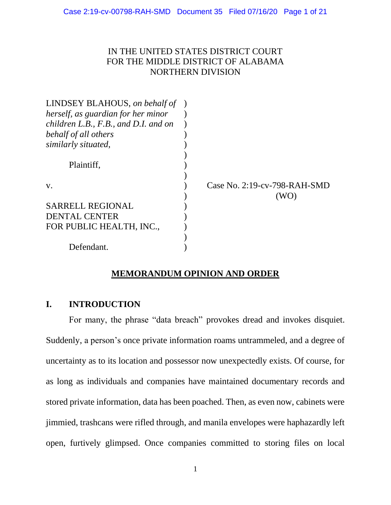### IN THE UNITED STATES DISTRICT COURT FOR THE MIDDLE DISTRICT OF ALABAMA NORTHERN DIVISION

| LINDSEY BLAHOUS, on behalf of        |                                         |
|--------------------------------------|-----------------------------------------|
| herself, as guardian for her minor   |                                         |
| children L.B., F.B., and D.I. and on |                                         |
| behalf of all others                 |                                         |
| similarly situated,                  |                                         |
| Plaintiff,                           |                                         |
| V.                                   | Case No. $2:19$ -cv-798-RAH-SMD<br>(WO) |
| <b>SARRELL REGIONAL</b>              |                                         |
| DENTAL CENTER                        |                                         |
| FOR PUBLIC HEALTH, INC.,             |                                         |
|                                      |                                         |
| Defendant.                           |                                         |

## **MEMORANDUM OPINION AND ORDER**

## **I. INTRODUCTION**

For many, the phrase "data breach" provokes dread and invokes disquiet. Suddenly, a person's once private information roams untrammeled, and a degree of uncertainty as to its location and possessor now unexpectedly exists. Of course, for as long as individuals and companies have maintained documentary records and stored private information, data has been poached. Then, as even now, cabinets were jimmied, trashcans were rifled through, and manila envelopes were haphazardly left open, furtively glimpsed. Once companies committed to storing files on local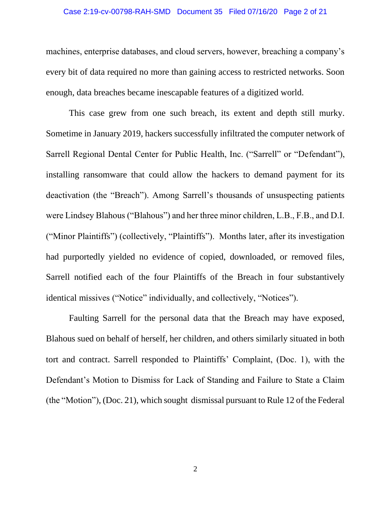#### Case 2:19-cv-00798-RAH-SMD Document 35 Filed 07/16/20 Page 2 of 21

machines, enterprise databases, and cloud servers, however, breaching a company's every bit of data required no more than gaining access to restricted networks. Soon enough, data breaches became inescapable features of a digitized world.

This case grew from one such breach, its extent and depth still murky. Sometime in January 2019, hackers successfully infiltrated the computer network of Sarrell Regional Dental Center for Public Health, Inc. ("Sarrell" or "Defendant"), installing ransomware that could allow the hackers to demand payment for its deactivation (the "Breach"). Among Sarrell's thousands of unsuspecting patients were Lindsey Blahous ("Blahous") and her three minor children, L.B., F.B., and D.I. ("Minor Plaintiffs") (collectively, "Plaintiffs"). Months later, after its investigation had purportedly yielded no evidence of copied, downloaded, or removed files, Sarrell notified each of the four Plaintiffs of the Breach in four substantively identical missives ("Notice" individually, and collectively, "Notices").

Faulting Sarrell for the personal data that the Breach may have exposed, Blahous sued on behalf of herself, her children, and others similarly situated in both tort and contract. Sarrell responded to Plaintiffs' Complaint, (Doc. 1), with the Defendant's Motion to Dismiss for Lack of Standing and Failure to State a Claim (the "Motion"), (Doc. 21), which sought dismissal pursuant to Rule 12 of the Federal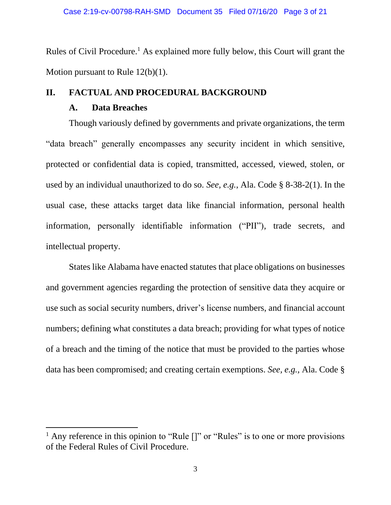Rules of Civil Procedure.<sup>1</sup> As explained more fully below, this Court will grant the Motion pursuant to Rule 12(b)(1).

## **II. FACTUAL AND PROCEDURAL BACKGROUND**

## **A. Data Breaches**

Though variously defined by governments and private organizations, the term "data breach" generally encompasses any security incident in which sensitive, protected or confidential data is copied, transmitted, accessed, viewed, stolen, or used by an individual unauthorized to do so. *See, e.g.*, Ala. Code § 8-38-2(1). In the usual case, these attacks target data like financial information, personal health information, personally identifiable information ("PII"), trade secrets, and intellectual property.

States like Alabama have enacted statutes that place obligations on businesses and government agencies regarding the protection of sensitive data they acquire or use such as social security numbers, driver's license numbers, and financial account numbers; defining what constitutes a data breach; providing for what types of notice of a breach and the timing of the notice that must be provided to the parties whose data has been compromised; and creating certain exemptions. *See, e.g.,* Ala. Code §

<sup>&</sup>lt;sup>1</sup> Any reference in this opinion to "Rule  $[]$ " or "Rules" is to one or more provisions of the Federal Rules of Civil Procedure.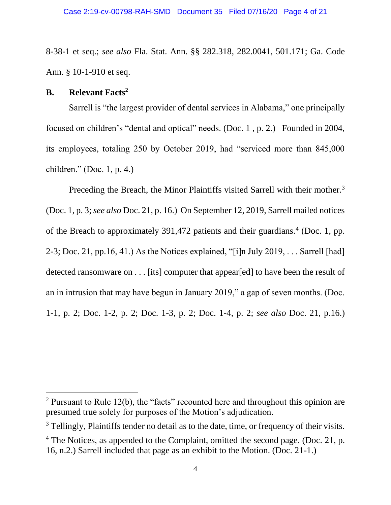8-38-1 et seq.; *see also* Fla. Stat. Ann. §§ 282.318, 282.0041, 501.171; Ga. Code Ann. § 10-1-910 et seq.

### **B. Relevant Facts<sup>2</sup>**

Sarrell is "the largest provider of dental services in Alabama," one principally focused on children's "dental and optical" needs. (Doc. 1 , p. 2.) Founded in 2004, its employees, totaling 250 by October 2019, had "serviced more than 845,000 children." (Doc. 1, p. 4.)

Preceding the Breach, the Minor Plaintiffs visited Sarrell with their mother.<sup>3</sup> (Doc. 1, p. 3;*see also* Doc. 21, p. 16.) On September 12, 2019, Sarrell mailed notices of the Breach to approximately 391,472 patients and their guardians.<sup>4</sup> (Doc. 1, pp. 2-3; Doc. 21, pp.16, 41.) As the Notices explained, "[i]n July 2019,  $\dots$  Sarrell [had] detected ransomware on . . . [its] computer that appear[ed] to have been the result of an in intrusion that may have begun in January 2019," a gap of seven months. (Doc. 1-1, p. 2; Doc. 1-2, p. 2; Doc. 1-3, p. 2; Doc. 1-4, p. 2; *see also* Doc. 21, p.16.)

 $2$  Pursuant to Rule 12(b), the "facts" recounted here and throughout this opinion are presumed true solely for purposes of the Motion's adjudication.

<sup>&</sup>lt;sup>3</sup> Tellingly, Plaintiffs tender no detail as to the date, time, or frequency of their visits.

<sup>&</sup>lt;sup>4</sup> The Notices, as appended to the Complaint, omitted the second page. (Doc. 21, p. 16, n.2.) Sarrell included that page as an exhibit to the Motion. (Doc. 21-1.)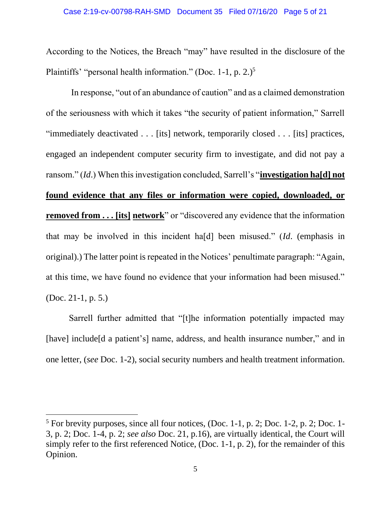According to the Notices, the Breach "may" have resulted in the disclosure of the Plaintiffs' "personal health information." (Doc. 1-1, p. 2.)<sup>5</sup>

In response, "out of an abundance of caution" and as a claimed demonstration of the seriousness with which it takes "the security of patient information," Sarrell "immediately deactivated . . . [its] network, temporarily closed . . . [its] practices, engaged an independent computer security firm to investigate, and did not pay a ransom." (*Id*.) When this investigation concluded, Sarrell's "**investigation ha[d] not found evidence that any files or information were copied, downloaded, or removed from . . . [its] network**" or "discovered any evidence that the information that may be involved in this incident ha[d] been misused." (*Id*. (emphasis in original).) The latter point is repeated in the Notices' penultimate paragraph: "Again, at this time, we have found no evidence that your information had been misused." (Doc. 21-1, p. 5.)

Sarrell further admitted that "[t]he information potentially impacted may [have] include<sup>[d a patient's]</sup> name, address, and health insurance number," and in one letter, (*see* Doc. 1-2), social security numbers and health treatment information.

 $5$  For brevity purposes, since all four notices, (Doc. 1-1, p. 2; Doc. 1-2, p. 2; Doc. 1-3, p. 2; Doc. 1-4, p. 2; *see also* Doc. 21, p.16), are virtually identical, the Court will simply refer to the first referenced Notice, (Doc. 1-1, p. 2), for the remainder of this Opinion.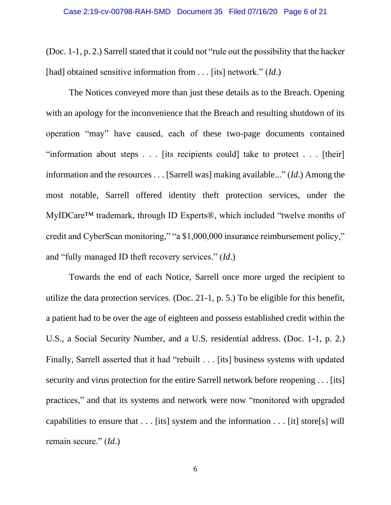(Doc. 1-1, p. 2.) Sarrell stated that it could not "rule out the possibility that the hacker [had] obtained sensitive information from . . . [its] network." *(Id.)* 

The Notices conveyed more than just these details as to the Breach. Opening with an apology for the inconvenience that the Breach and resulting shutdown of its operation "may" have caused, each of these two-page documents contained "information about steps  $\ldots$  [its recipients could] take to protect  $\ldots$  [their] information and the resources . . . [Sarrell was] making available..." (*Id*.) Among the most notable, Sarrell offered identity theft protection services, under the MyIDCare™ trademark, through ID Experts®, which included "twelve months of credit and CyberScan monitoring," "a \$1,000,000 insurance reimbursement policy," and "fully managed ID theft recovery services." (*Id*.)

Towards the end of each Notice, Sarrell once more urged the recipient to utilize the data protection services. (Doc. 21-1, p. 5.) To be eligible for this benefit, a patient had to be over the age of eighteen and possess established credit within the U.S., a Social Security Number, and a U.S. residential address. (Doc. 1-1, p. 2.) Finally, Sarrell asserted that it had "rebuilt . . . [its] business systems with updated security and virus protection for the entire Sarrell network before reopening . . . [its] practices," and that its systems and network were now "monitored with upgraded capabilities to ensure that . . . [its] system and the information . . . [it] store[s] will remain secure." (*Id*.)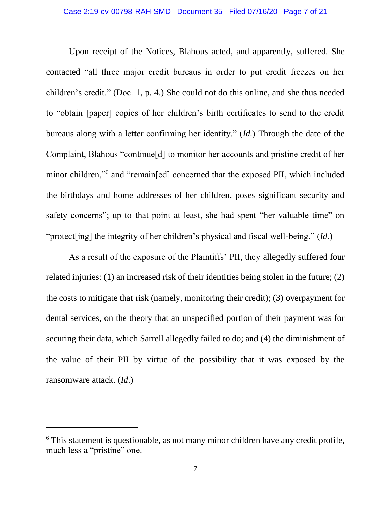Upon receipt of the Notices, Blahous acted, and apparently, suffered. She contacted "all three major credit bureaus in order to put credit freezes on her children's credit." (Doc. 1, p. 4.) She could not do this online, and she thus needed to "obtain [paper] copies of her children's birth certificates to send to the credit bureaus along with a letter confirming her identity." (*Id.*) Through the date of the Complaint, Blahous "continue[d] to monitor her accounts and pristine credit of her minor children,"<sup>6</sup> and "remain[ed] concerned that the exposed PII, which included the birthdays and home addresses of her children, poses significant security and safety concerns"; up to that point at least, she had spent "her valuable time" on "protect[ing] the integrity of her children's physical and fiscal well-being." (*Id.*)

As a result of the exposure of the Plaintiffs' PII, they allegedly suffered four related injuries: (1) an increased risk of their identities being stolen in the future; (2) the costs to mitigate that risk (namely, monitoring their credit); (3) overpayment for dental services, on the theory that an unspecified portion of their payment was for securing their data, which Sarrell allegedly failed to do; and (4) the diminishment of the value of their PII by virtue of the possibility that it was exposed by the ransomware attack. (*Id*.)

<sup>&</sup>lt;sup>6</sup> This statement is questionable, as not many minor children have any credit profile, much less a "pristine" one.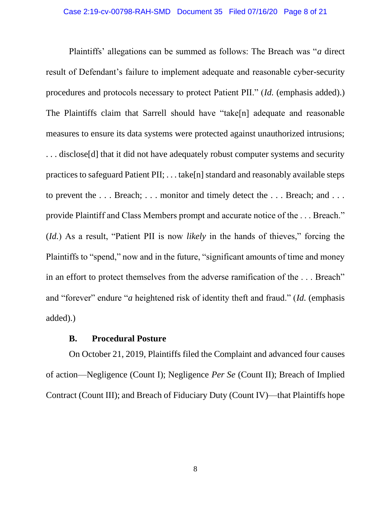Plaintiffs' allegations can be summed as follows: The Breach was "*a* direct result of Defendant's failure to implement adequate and reasonable cyber-security procedures and protocols necessary to protect Patient PII." (*Id.* (emphasis added).) The Plaintiffs claim that Sarrell should have "take[n] adequate and reasonable measures to ensure its data systems were protected against unauthorized intrusions; ... disclose<sup>[d]</sup> that it did not have adequately robust computer systems and security practices to safeguard Patient PII; . . . take[n] standard and reasonably available steps to prevent the ... Breach; ... monitor and timely detect the ... Breach; and ... provide Plaintiff and Class Members prompt and accurate notice of the . . . Breach." (*Id.*) As a result, "Patient PII is now *likely* in the hands of thieves," forcing the Plaintiffs to "spend," now and in the future, "significant amounts of time and money in an effort to protect themselves from the adverse ramification of the . . . Breach" and "forever" endure "*a* heightened risk of identity theft and fraud." (*Id.* (emphasis added).)

### **B. Procedural Posture**

On October 21, 2019, Plaintiffs filed the Complaint and advanced four causes of action—Negligence (Count I); Negligence *Per Se* (Count II); Breach of Implied Contract (Count III); and Breach of Fiduciary Duty (Count IV)—that Plaintiffs hope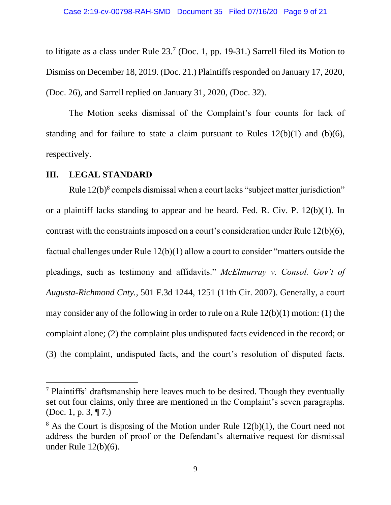to litigate as a class under Rule  $23<sup>7</sup>$  (Doc. 1, pp. 19-31.) Sarrell filed its Motion to Dismiss on December 18, 2019. (Doc. 21.) Plaintiffs responded on January 17, 2020, (Doc. 26), and Sarrell replied on January 31, 2020, (Doc. 32).

The Motion seeks dismissal of the Complaint's four counts for lack of standing and for failure to state a claim pursuant to Rules  $12(b)(1)$  and  $(b)(6)$ , respectively.

### **III. LEGAL STANDARD**

Rule 12(b)<sup>8</sup> compels dismissal when a court lacks "subject matter jurisdiction" or a plaintiff lacks standing to appear and be heard. Fed. R. Civ. P. 12(b)(1). In contrast with the constraints imposed on a court's consideration under Rule 12(b)(6), factual challenges under Rule 12(b)(1) allow a court to consider "matters outside the pleadings, such as testimony and affidavits." *McElmurray v. Consol. Gov't of Augusta-Richmond Cnty.*, 501 F.3d 1244, 1251 (11th Cir. 2007). Generally, a court may consider any of the following in order to rule on a Rule 12(b)(1) motion: (1) the complaint alone; (2) the complaint plus undisputed facts evidenced in the record; or (3) the complaint, undisputed facts, and the court's resolution of disputed facts.

<sup>7</sup> Plaintiffs' draftsmanship here leaves much to be desired. Though they eventually set out four claims, only three are mentioned in the Complaint's seven paragraphs. (Doc. 1, p. 3, ¶ 7.)

 $8$  As the Court is disposing of the Motion under Rule 12(b)(1), the Court need not address the burden of proof or the Defendant's alternative request for dismissal under Rule 12(b)(6).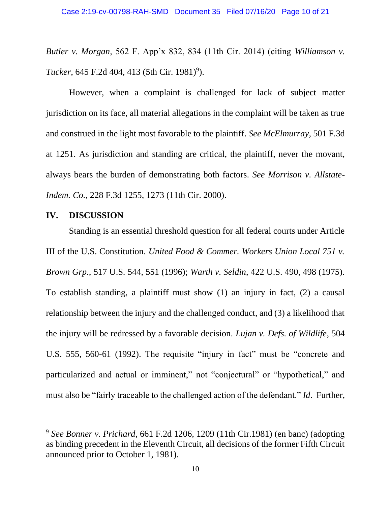*Butler v. Morgan*, 562 F. App'x 832, 834 (11th Cir. 2014) (citing *Williamson v. Tucker*, 645 F.2d 404, 413 (5th Cir. 1981)<sup>9</sup>).

However, when a complaint is challenged for lack of subject matter jurisdiction on its face, all material allegations in the complaint will be taken as true and construed in the light most favorable to the plaintiff. *See McElmurray*, 501 F.3d at 1251. As jurisdiction and standing are critical, the plaintiff, never the movant, always bears the burden of demonstrating both factors. *See Morrison v. Allstate-Indem. Co.,* 228 F.3d 1255, 1273 (11th Cir. 2000).

## **IV. DISCUSSION**

Standing is an essential threshold question for all federal courts under Article III of the U.S. Constitution. *United Food & Commer. Workers Union Local 751 v. Brown Grp.*, 517 U.S. 544, 551 (1996); *Warth v. Seldin*, 422 U.S. 490, 498 (1975). To establish standing, a plaintiff must show (1) an injury in fact, (2) a causal relationship between the injury and the challenged conduct, and (3) a likelihood that the injury will be redressed by a favorable decision. *Lujan v. Defs. of Wildlife*, 504 U.S. 555, 560-61 (1992). The requisite "injury in fact" must be "concrete and particularized and actual or imminent," not "conjectural" or "hypothetical," and must also be "fairly traceable to the challenged action of the defendant." *Id*. Further,

<sup>9</sup> *See Bonner v. Prichard*, 661 F.2d 1206, 1209 (11th Cir.1981) (en banc) (adopting as binding precedent in the Eleventh Circuit, all decisions of the former Fifth Circuit announced prior to October 1, 1981).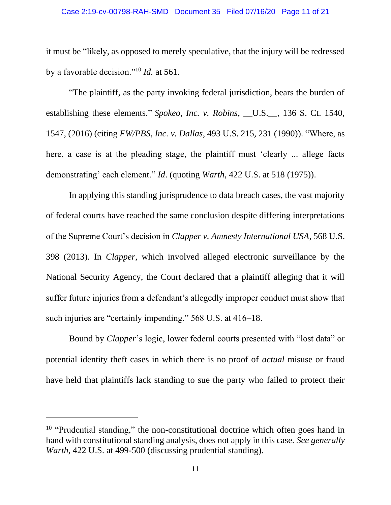#### Case 2:19-cv-00798-RAH-SMD Document 35 Filed 07/16/20 Page 11 of 21

it must be "likely, as opposed to merely speculative, that the injury will be redressed by a favorable decision."<sup>10</sup> *Id.* at 561.

"The plaintiff, as the party invoking federal jurisdiction, bears the burden of establishing these elements." *Spokeo, Inc. v. Robins*, \_\_U.S.\_\_, 136 S. Ct. 1540, 1547, (2016) (citing *FW/PBS, Inc. v. Dallas*, 493 U.S. 215, 231 (1990)). "Where, as here, a case is at the pleading stage, the plaintiff must 'clearly ... allege facts demonstrating' each element." *Id*. (quoting *Warth*, 422 U.S. at 518 (1975)).

In applying this standing jurisprudence to data breach cases, the vast majority of federal courts have reached the same conclusion despite differing interpretations of the Supreme Court's decision in *Clapper v. Amnesty International USA,* 568 U.S. 398 (2013). In *Clapper*, which involved alleged electronic surveillance by the National Security Agency, the Court declared that a plaintiff alleging that it will suffer future injuries from a defendant's allegedly improper conduct must show that such injuries are "certainly impending." 568 U.S. at 416–18.

Bound by *Clapper*'s logic, lower federal courts presented with "lost data" or potential identity theft cases in which there is no proof of *actual* misuse or fraud have held that plaintiffs lack standing to sue the party who failed to protect their

 $10$  "Prudential standing," the non-constitutional doctrine which often goes hand in hand with constitutional standing analysis, does not apply in this case. *See generally Warth*, 422 U.S. at 499-500 (discussing prudential standing).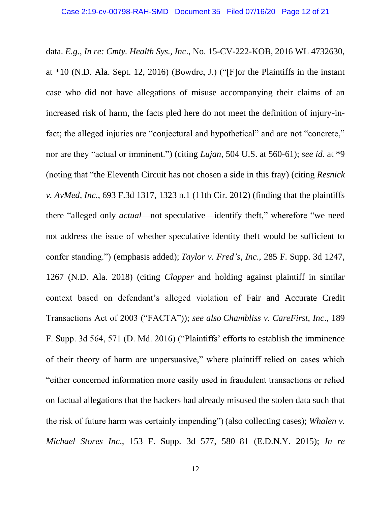data. *E.g.*, *In re: Cmty. Health Sys., Inc*., No. 15-CV-222-KOB, 2016 WL 4732630, at \*10 (N.D. Ala. Sept. 12, 2016) (Bowdre, J.) ("[F]or the Plaintiffs in the instant case who did not have allegations of misuse accompanying their claims of an increased risk of harm, the facts pled here do not meet the definition of injury-infact; the alleged injuries are "conjectural and hypothetical" and are not "concrete," nor are they "actual or imminent.") (citing *Lujan*, 504 U.S. at 560-61); *see id*. at \*9 (noting that "the Eleventh Circuit has not chosen a side in this fray) (citing *Resnick v. AvMed, Inc.*, 693 F.3d 1317, 1323 n.1 (11th Cir. 2012) (finding that the plaintiffs there "alleged only *actual*—not speculative—identify theft," wherefore "we need not address the issue of whether speculative identity theft would be sufficient to confer standing.") (emphasis added); *Taylor v. Fred's, Inc*., 285 F. Supp. 3d 1247, 1267 (N.D. Ala. 2018) (citing *Clapper* and holding against plaintiff in similar context based on defendant's alleged violation of Fair and Accurate Credit Transactions Act of 2003 ("FACTA")); *see also Chambliss v. CareFirst, Inc*., 189 F. Supp. 3d 564, 571 (D. Md. 2016) ("Plaintiffs' efforts to establish the imminence of their theory of harm are unpersuasive," where plaintiff relied on cases which "either concerned information more easily used in fraudulent transactions or relied on factual allegations that the hackers had already misused the stolen data such that the risk of future harm was certainly impending") (also collecting cases); *Whalen v. Michael Stores Inc*., 153 F. Supp. 3d 577, 580–81 (E.D.N.Y. 2015); *In re*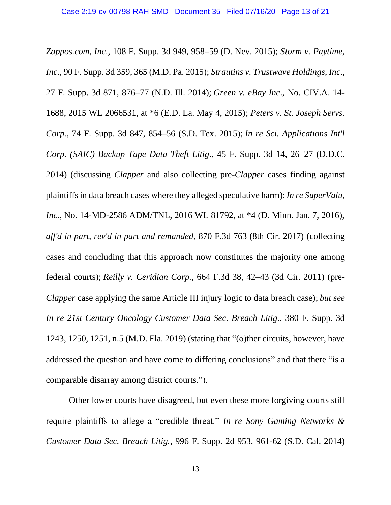*Zappos.com, Inc*., 108 F. Supp. 3d 949, 958–59 (D. Nev. 2015); *Storm v. Paytime, Inc*., 90 F. Supp. 3d 359, 365 (M.D. Pa. 2015); *Strautins v. Trustwave Holdings, Inc*., 27 F. Supp. 3d 871, 876–77 (N.D. Ill. 2014); *Green v. eBay Inc*., No. CIV.A. 14- 1688, 2015 WL 2066531, at \*6 (E.D. La. May 4, 2015); *Peters v. St. Joseph Servs. Corp.*, 74 F. Supp. 3d 847, 854–56 (S.D. Tex. 2015); *In re Sci. Applications Int'l Corp. (SAIC) Backup Tape Data Theft Litig*., 45 F. Supp. 3d 14, 26–27 (D.D.C. 2014) (discussing *Clapper* and also collecting pre-*Clapper* cases finding against plaintiffs in data breach cases where they alleged speculative harm);*In re SuperValu, Inc.*, No. 14-MD-2586 ADM/TNL, 2016 WL 81792, at \*4 (D. Minn. Jan. 7, 2016), *aff'd in part, rev'd in part and remanded*, 870 F.3d 763 (8th Cir. 2017) (collecting cases and concluding that this approach now constitutes the majority one among federal courts); *Reilly v. Ceridian Corp.*, 664 F.3d 38, 42–43 (3d Cir. 2011) (pre-*Clapper* case applying the same Article III injury logic to data breach case); *but see In re 21st Century Oncology Customer Data Sec. Breach Litig*., 380 F. Supp. 3d 1243, 1250, 1251, n.5 (M.D. Fla. 2019) (stating that "(o)ther circuits, however, have addressed the question and have come to differing conclusions" and that there "is a comparable disarray among district courts.").

Other lower courts have disagreed, but even these more forgiving courts still require plaintiffs to allege a "credible threat." *In re Sony Gaming Networks & Customer Data Sec. Breach Litig.*, 996 F. Supp. 2d 953, 961-62 (S.D. Cal. 2014)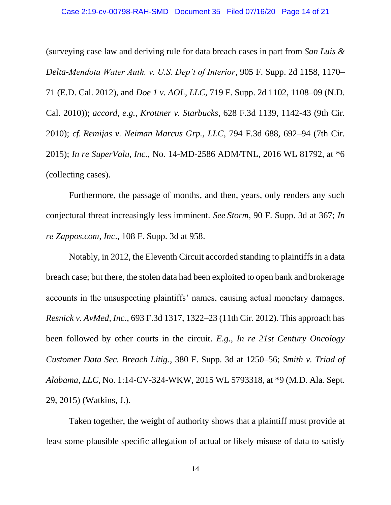(surveying case law and deriving rule for data breach cases in part from *San Luis & Delta-Mendota Water Auth. v. U.S. Dep't of Interior*, 905 F. Supp. 2d 1158, 1170– 71 (E.D. Cal. 2012), and *Doe 1 v. AOL, LLC*, 719 F. Supp. 2d 1102, 1108–09 (N.D. Cal. 2010)); *accord, e.g.*, *Krottner v. Starbucks*, 628 F.3d 1139, 1142-43 (9th Cir. 2010); *cf. Remijas v. Neiman Marcus Grp., LLC,* 794 F.3d 688, 692–94 (7th Cir. 2015); *In re SuperValu, Inc.,* No. 14-MD-2586 ADM/TNL, 2016 WL 81792, at \*6 (collecting cases).

Furthermore, the passage of months, and then, years, only renders any such conjectural threat increasingly less imminent. *See Storm*, 90 F. Supp. 3d at 367; *In re Zappos.com*, *Inc*., 108 F. Supp. 3d at 958.

Notably, in 2012, the Eleventh Circuit accorded standing to plaintiffs in a data breach case; but there, the stolen data had been exploited to open bank and brokerage accounts in the unsuspecting plaintiffs' names, causing actual monetary damages. *Resnick v. AvMed, Inc*., 693 F.3d 1317, 1322–23 (11th Cir. 2012). This approach has been followed by other courts in the circuit. *E.g., In re 21st Century Oncology Customer Data Sec. Breach Litig*., 380 F. Supp. 3d at 1250–56; *Smith v. Triad of Alabama, LLC*, No. 1:14-CV-324-WKW, 2015 WL 5793318, at \*9 (M.D. Ala. Sept. 29, 2015) (Watkins, J.).

Taken together, the weight of authority shows that a plaintiff must provide at least some plausible specific allegation of actual or likely misuse of data to satisfy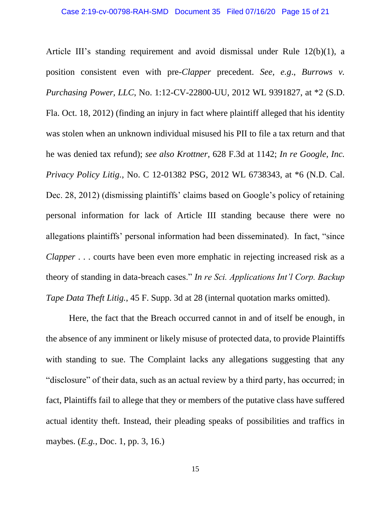Article III's standing requirement and avoid dismissal under Rule 12(b)(1), a position consistent even with pre-*Clapper* precedent. *See, e.g*., *Burrows v. Purchasing Power, LLC*, No. 1:12-CV-22800-UU, 2012 WL 9391827, at \*2 (S.D. Fla. Oct. 18, 2012) (finding an injury in fact where plaintiff alleged that his identity was stolen when an unknown individual misused his PII to file a tax return and that he was denied tax refund); *see also Krottner*, 628 F.3d at 1142; *In re Google, Inc. Privacy Policy Litig.*, No. C 12-01382 PSG, 2012 WL 6738343, at \*6 (N.D. Cal. Dec. 28, 2012) (dismissing plaintiffs' claims based on Google's policy of retaining personal information for lack of Article III standing because there were no allegations plaintiffs' personal information had been disseminated). In fact, "since *Clapper* . . . courts have been even more emphatic in rejecting increased risk as a theory of standing in data-breach cases." *In re Sci. Applications Int'l Corp. Backup Tape Data Theft Litig.*, 45 F. Supp. 3d at 28 (internal quotation marks omitted).

Here, the fact that the Breach occurred cannot in and of itself be enough, in the absence of any imminent or likely misuse of protected data, to provide Plaintiffs with standing to sue. The Complaint lacks any allegations suggesting that any "disclosure" of their data, such as an actual review by a third party, has occurred; in fact, Plaintiffs fail to allege that they or members of the putative class have suffered actual identity theft. Instead, their pleading speaks of possibilities and traffics in maybes. (*E.g.*, Doc. 1, pp. 3, 16.)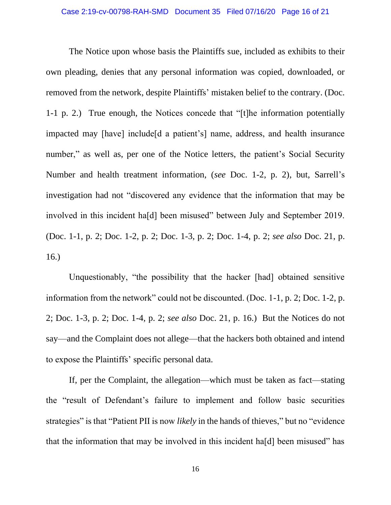The Notice upon whose basis the Plaintiffs sue, included as exhibits to their own pleading, denies that any personal information was copied, downloaded, or removed from the network, despite Plaintiffs' mistaken belief to the contrary. (Doc. 1-1 p. 2.) True enough, the Notices concede that "[t]he information potentially impacted may [have] include[d a patient's] name, address, and health insurance number," as well as, per one of the Notice letters, the patient's Social Security Number and health treatment information, (*see* Doc. 1-2, p. 2), but, Sarrell's investigation had not "discovered any evidence that the information that may be involved in this incident ha[d] been misused" between July and September 2019. (Doc. 1-1, p. 2; Doc. 1-2, p. 2; Doc. 1-3, p. 2; Doc. 1-4, p. 2; *see also* Doc. 21, p. 16.)

Unquestionably, "the possibility that the hacker [had] obtained sensitive information from the network" could not be discounted. (Doc. 1-1, p. 2; Doc. 1-2, p. 2; Doc. 1-3, p. 2; Doc. 1-4, p. 2; *see also* Doc. 21, p. 16.) But the Notices do not say—and the Complaint does not allege—that the hackers both obtained and intend to expose the Plaintiffs' specific personal data.

If, per the Complaint, the allegation—which must be taken as fact—stating the "result of Defendant's failure to implement and follow basic securities strategies" is that "Patient PII is now *likely* in the hands of thieves," but no "evidence that the information that may be involved in this incident ha[d] been misused" has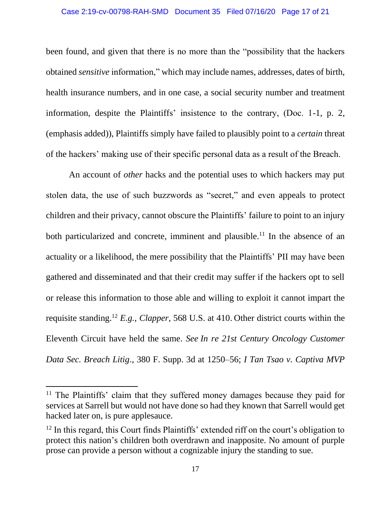#### Case 2:19-cv-00798-RAH-SMD Document 35 Filed 07/16/20 Page 17 of 21

been found, and given that there is no more than the "possibility that the hackers obtained *sensitive* information," which may include names, addresses, dates of birth, health insurance numbers, and in one case, a social security number and treatment information, despite the Plaintiffs' insistence to the contrary, (Doc. 1-1, p. 2, (emphasis added)), Plaintiffs simply have failed to plausibly point to a *certain* threat of the hackers' making use of their specific personal data as a result of the Breach.

An account of *other* hacks and the potential uses to which hackers may put stolen data, the use of such buzzwords as "secret," and even appeals to protect children and their privacy, cannot obscure the Plaintiffs' failure to point to an injury both particularized and concrete, imminent and plausible.<sup>11</sup> In the absence of an actuality or a likelihood, the mere possibility that the Plaintiffs' PII may have been gathered and disseminated and that their credit may suffer if the hackers opt to sell or release this information to those able and willing to exploit it cannot impart the requisite standing.<sup>12</sup> *E.g.*, *Clapper*, 568 U.S. at 410. Other district courts within the Eleventh Circuit have held the same. *See In re 21st Century Oncology Customer Data Sec. Breach Litig*., 380 F. Supp. 3d at 1250–56; *I Tan Tsao v. Captiva MVP* 

<sup>&</sup>lt;sup>11</sup> The Plaintiffs' claim that they suffered money damages because they paid for services at Sarrell but would not have done so had they known that Sarrell would get hacked later on, is pure applesauce.

 $12$  In this regard, this Court finds Plaintiffs' extended riff on the court's obligation to protect this nation's children both overdrawn and inapposite. No amount of purple prose can provide a person without a cognizable injury the standing to sue.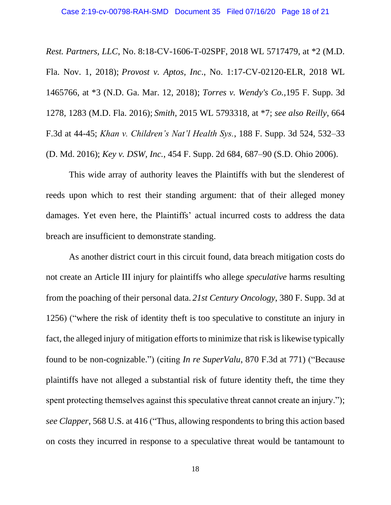*Rest. Partners, LLC*, No. 8:18-CV-1606-T-02SPF, 2018 WL 5717479, at \*2 (M.D. Fla. Nov. 1, 2018); *Provost v. Aptos, Inc*., No. 1:17-CV-02120-ELR, 2018 WL 1465766, at \*3 (N.D. Ga. Mar. 12, 2018); *Torres v. Wendy's Co.,*195 F. Supp. 3d 1278, 1283 (M.D. Fla. 2016); *Smith*, 2015 WL 5793318, at \*7; *see also Reilly*, 664 F.3d at 44-45; *Khan v. Children's Nat'l Health Sys.*, 188 F. Supp. 3d 524, 532–33 (D. Md. 2016); *Key v. DSW, Inc.*, 454 F. Supp. 2d 684, 687–90 (S.D. Ohio 2006).

This wide array of authority leaves the Plaintiffs with but the slenderest of reeds upon which to rest their standing argument: that of their alleged money damages. Yet even here, the Plaintiffs' actual incurred costs to address the data breach are insufficient to demonstrate standing.

As another district court in this circuit found, data breach mitigation costs do not create an Article III injury for plaintiffs who allege *speculative* harms resulting from the poaching of their personal data. *21st Century Oncology*, 380 F. Supp. 3d at 1256) ("where the risk of identity theft is too speculative to constitute an injury in fact, the alleged injury of mitigation efforts to minimize that risk is likewise typically found to be non-cognizable.") (citing *In re SuperValu*, 870 F.3d at 771) ("Because plaintiffs have not alleged a substantial risk of future identity theft, the time they spent protecting themselves against this speculative threat cannot create an injury."); *see Clapper*, 568 U.S. at 416 ("Thus, allowing respondents to bring this action based on costs they incurred in response to a speculative threat would be tantamount to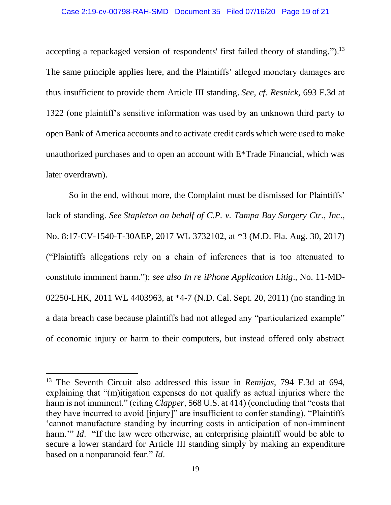### Case 2:19-cv-00798-RAH-SMD Document 35 Filed 07/16/20 Page 19 of 21

accepting a repackaged version of respondents' first failed theory of standing.").<sup>13</sup> The same principle applies here, and the Plaintiffs' alleged monetary damages are thus insufficient to provide them Article III standing. *See, cf. Resnick*, 693 F.3d at 1322 (one plaintiff's sensitive information was used by an unknown third party to open Bank of America accounts and to activate credit cards which were used to make unauthorized purchases and to open an account with E\*Trade Financial, which was later overdrawn).

So in the end, without more, the Complaint must be dismissed for Plaintiffs' lack of standing. *See Stapleton on behalf of C.P. v. Tampa Bay Surgery Ctr., Inc*., No. 8:17-CV-1540-T-30AEP, 2017 WL 3732102, at \*3 (M.D. Fla. Aug. 30, 2017) ("Plaintiffs allegations rely on a chain of inferences that is too attenuated to constitute imminent harm."); *see also In re iPhone Application Litig*., No. 11-MD-02250-LHK, 2011 WL 4403963, at \*4-7 (N.D. Cal. Sept. 20, 2011) (no standing in a data breach case because plaintiffs had not alleged any "particularized example" of economic injury or harm to their computers, but instead offered only abstract

<sup>13</sup> The Seventh Circuit also addressed this issue in *Remijas*, 794 F.3d at 694, explaining that "(m)itigation expenses do not qualify as actual injuries where the harm is not imminent." (citing *Clapper*, 568 U.S. at 414) (concluding that "costs that they have incurred to avoid [injury]" are insufficient to confer standing). "Plaintiffs 'cannot manufacture standing by incurring costs in anticipation of non-imminent harm." *Id.* "If the law were otherwise, an enterprising plaintiff would be able to secure a lower standard for Article III standing simply by making an expenditure based on a nonparanoid fear." *Id*.